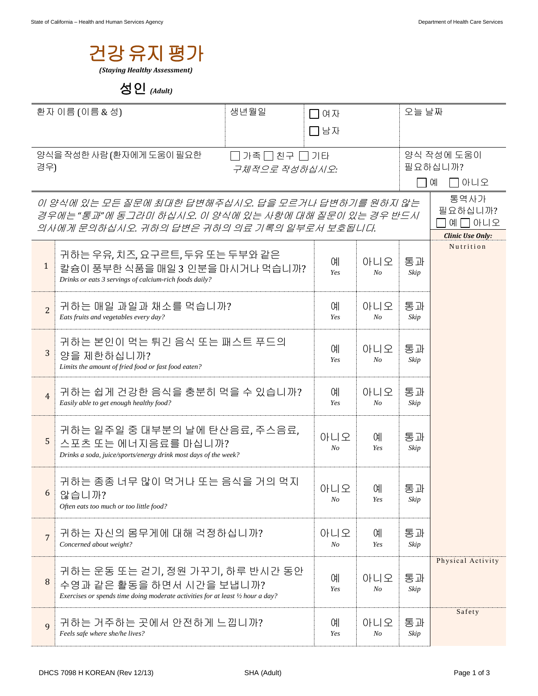

## 성인 *(Adult)*

| 환자 이름 (이름 & 성)<br>생년월일                    |                                                                                                             | 여자  |                | 오늘 날짜          |                     |                         |
|-------------------------------------------|-------------------------------------------------------------------------------------------------------------|-----|----------------|----------------|---------------------|-------------------------|
|                                           |                                                                                                             | コ남자 |                |                |                     |                         |
|                                           |                                                                                                             |     |                |                |                     |                         |
| 양식을 작성한 사람 (환자에게 도움이 필요한<br> 가족 □ 친구 □ 기타 |                                                                                                             |     |                |                | 양식 작성에 도움이          |                         |
| 경우)<br>구체적으로 작성하십시오:                      |                                                                                                             |     |                |                | 필요하십니까?<br>$\Box$ 예 |                         |
|                                           |                                                                                                             |     |                |                |                     | □아니오                    |
|                                           | 이 양식에 있는 모든 질문에 최대한 답변해주십시오. 답을 모르거나 답변하기를 원하지 않는                                                           |     |                |                |                     | 통역사가<br>필요하십니까?         |
|                                           | 경우에는 "통과"에 동그라미 하십시오. 이 양식에 있는 사항에 대해 질문이 있는 경우 반드시<br>의사에게 문의하십시오. 귀하의 답변은 귀하의 의료 기록의 일부로서 보호됩니다.          |     |                |                |                     | 예囗아니오                   |
|                                           |                                                                                                             |     |                |                |                     | <b>Clinic Use Only:</b> |
|                                           | 귀하는 우유, 치즈, 요구르트, 두유 또는 두부와 같은                                                                              |     |                |                |                     | Nutrition               |
| $\mathbf{1}$                              | 칼슘이 풍부한 식품을 매일 3 인분을 마시거나 먹습니까?                                                                             |     | 예<br>Yes       | 아니오<br>No      | 통과<br>Skip          |                         |
|                                           | Drinks or eats 3 servings of calcium-rich foods daily?                                                      |     |                |                |                     |                         |
|                                           | 귀하는 매일 과일과 채소를 먹습니까?                                                                                        |     | 예              | 아니오            | 통과                  |                         |
| $\overline{2}$                            | Eats fruits and vegetables every day?                                                                       |     | Yes            | No             | Skip                |                         |
|                                           |                                                                                                             |     |                |                |                     |                         |
|                                           | 귀하는 본인이 먹는 튀긴 음식 또는 패스트 푸드의                                                                                 |     | <b>CHI</b>     | 아니오            | 통과                  |                         |
| 3                                         | 양을 제한하십니까?<br>Limits the amount of fried food or fast food eaten?                                           |     | Yes            | No             | Skip                |                         |
|                                           |                                                                                                             |     |                |                |                     |                         |
| $\overline{4}$                            | 귀하는 쉽게 건강한 음식을 충분히 먹을 수 있습니까?                                                                               |     | <b>CHI</b>     | 아니오            | 통과                  |                         |
|                                           | Easily able to get enough healthy food?                                                                     |     | Yes            | N <sub>O</sub> | Skip                |                         |
|                                           |                                                                                                             |     |                |                |                     |                         |
| 5                                         | 귀하는 일주일 중 대부분의 날에 탄산음료, 주스음료,<br>스포츠 또는 에너지음료를 마십니까?                                                        |     | 아니오            | 예              | 통과                  |                         |
|                                           | Drinks a soda, juice/sports/energy drink most days of the week?                                             |     | N <sub>O</sub> | Yes            | Skip                |                         |
|                                           |                                                                                                             |     |                |                |                     |                         |
|                                           | 귀하는 종종 너무 많이 먹거나 또는 음식을 거의 먹지                                                                               |     | 아니오            | 예              | 통과                  |                         |
| 6                                         | 않습니까?                                                                                                       |     | No             | Yes            | Skip                |                         |
|                                           | Often eats too much or too little food?                                                                     |     |                |                |                     |                         |
|                                           | 귀하는 자신의 몸무게에 대해 걱정하십니까?                                                                                     |     | 아니오            | 예              | 통과                  |                         |
| $\overline{7}$                            | Concerned about weight?                                                                                     |     | No             | Yes            | Skip                |                         |
|                                           |                                                                                                             |     |                |                |                     | Physical Activity       |
|                                           | 귀하는 운동 또는 걷기, 정원 가꾸기, 하루 반시간 동안                                                                             |     | 예              | 아니오            | 통과                  |                         |
| 8                                         | 수영과 같은 활동을 하면서 시간을 보냅니까?<br>Exercises or spends time doing moderate activities for at least 1/2 hour a day? |     | Yes            | No             | Skip                |                         |
|                                           |                                                                                                             |     |                |                |                     |                         |
| 9                                         | 귀하는 거주하는 곳에서 안전하게 느낍니까?                                                                                     |     | 예              | 아니오            | 통과                  | Safety                  |
|                                           | Feels safe where she/he lives?                                                                              |     | Yes            | No             | Skip                |                         |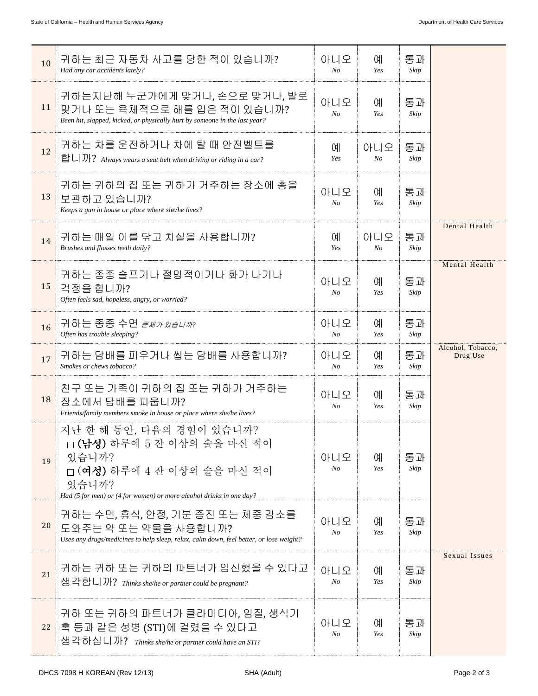| 10 | 귀하는 최근 자동차 사고를 당한 적이 있습니까?<br>Had any car accidents lately?                                                                                                                    | 아니오<br>$N_{O}$        | <b>CHI</b><br>Yes     | 통과<br>Skip |                               |
|----|--------------------------------------------------------------------------------------------------------------------------------------------------------------------------------|-----------------------|-----------------------|------------|-------------------------------|
| 11 | 귀하는지난해 누군가에게 맞거나, 손으로 맞거나, 발로<br>맞거나 또는 육체적으로 해를 입은 적이 있습니까?<br>Been hit, slapped, kicked, or physically hurt by someone in the last year?                                     | 아니오<br>$N_{O}$        | <b>CHI</b><br>Yes     | 통과<br>Skip |                               |
| 12 | 귀하는 차를 운전하거나 차에 탈 때 안전벨트를<br>합니까? Always wears a seat belt when driving or riding in a car?                                                                                    | 예<br>Yes              | 아니오<br>No             | 통과<br>Skip |                               |
| 13 | 귀하는 귀하의 집 또는 귀하가 거주하는 장소에 총을<br>보관하고 있습니까?<br>Keeps a gun in house or place where she/he lives?                                                                                | 아니오<br>$N_{O}$        | 예<br>Yes              | 통과<br>Skip |                               |
| 14 | 귀하는 매일 이를 닦고 치실을 사용합니까?<br>Brushes and flosses teeth daily?                                                                                                                    | 예<br>Yes              | 아니오<br>N <sub>O</sub> | 통과<br>Skip | Dental Health                 |
| 15 | 귀하는 종종 슬프거나 절망적이거나 화가 나거나<br>걱정을 합니까?<br>Often feels sad, hopeless, angry, or worried?                                                                                         | 아니오<br>N <sub>o</sub> | 예<br>Yes              | 통과<br>Skip | Mental Health                 |
| 16 | 귀하는 종종 수면 <i><sub>문제가 있습니까</sub></i> ?<br>Often has trouble sleeping?                                                                                                          | 아니오<br>$N_{O}$        | <b>CHI</b><br>Yes     | 통과<br>Skip |                               |
| 17 | 귀하는 담배를 피우거나 씹는 담배를 사용합니까?<br>Smokes or chews tobacco?                                                                                                                         | 아니오<br>$N_{O}$        | 예<br>Yes              | 통과<br>Skip | Alcohol, Tobacco,<br>Drug Use |
| 18 | 친구 또는 가족이 귀하의 집 또는 귀하가 거주하는<br>장소에서 담배를 피웁니까?<br>Friends/family members smoke in house or place where she/he lives?                                                            | 아니오<br>No             | 예<br>Yes              | 통과<br>Skip |                               |
| 19 | 지난 한 해 동안, 다음의 경험이 있습니까?<br>□(남성) 하루에 5 잔 이상의 술을 마신 적이<br>있습니까?<br>□ (여성) 하루에 4 잔 이상의 술을 마신 적이<br>있습니까?<br>Had (5 for men) or (4 for women) or more alcohol drinks in one day? | 아니오<br>No             | 예<br>Yes              | 통과<br>Skip |                               |
| 20 | 귀하는 수면, 휴식, 안정, 기분 증진 또는 체중 감소를<br>도와주는 약 또는 약물을 사용합니까?<br>Uses any drugs/medicines to help sleep, relax, calm down, feel better, or lose weight?                              | 아니오<br>No             | 예<br>Yes              | 통과<br>Skip |                               |
| 21 | 귀하는 귀하 또는 귀하의 파트너가 임신했을 수 있다고<br>생각합니까? Thinks she/he or partner could be pregnant?                                                                                            | 아니오<br>No             | 예<br>Yes              | 통과<br>Skip | Sexual Issues                 |
| 22 | 귀하 또는 귀하의 파트너가 클라미디아, 임질, 생식기<br>혹 등과 같은 성병 (STI)에 걸렸을 수 있다고<br>생각하십니까? Thinks she/he or partner could have an STI?                                                            | 아니오<br>No             | 예<br>Yes              | 통과<br>Skip |                               |